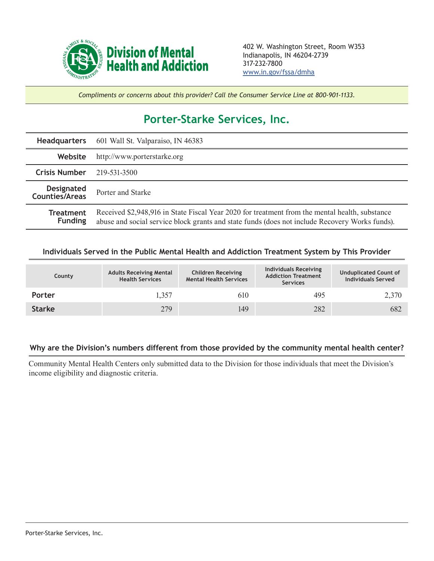

*Compliments or concerns about this provider? Call the Consumer Service Line at 800-901-1133.*

## **Porter-Starke Services, Inc.**

| <b>Headquarters</b>                 | 601 Wall St. Valparaiso, IN 46383                                                                                                                                                                |  |  |  |
|-------------------------------------|--------------------------------------------------------------------------------------------------------------------------------------------------------------------------------------------------|--|--|--|
| Website                             | http://www.porterstarke.org                                                                                                                                                                      |  |  |  |
| <b>Crisis Number</b>                | 219-531-3500                                                                                                                                                                                     |  |  |  |
| <b>Designated</b><br>Counties/Areas | Porter and Starke                                                                                                                                                                                |  |  |  |
| Treatment<br><b>Funding</b>         | Received \$2,948,916 in State Fiscal Year 2020 for treatment from the mental health, substance<br>abuse and social service block grants and state funds (does not include Recovery Works funds). |  |  |  |

## **Individuals Served in the Public Mental Health and Addiction Treatment System by This Provider**

| County        | <b>Adults Receiving Mental</b><br><b>Health Services</b> | <b>Children Receiving</b><br><b>Mental Health Services</b> | Individuals Receiving<br><b>Addiction Treatment</b><br><b>Services</b> | <b>Unduplicated Count of</b><br><b>Individuals Served</b> |
|---------------|----------------------------------------------------------|------------------------------------------------------------|------------------------------------------------------------------------|-----------------------------------------------------------|
| Porter        | 1.357                                                    | 610                                                        | 495                                                                    | 2,370                                                     |
| <b>Starke</b> | 279                                                      | 149                                                        | 282                                                                    | 682                                                       |

## **Why are the Division's numbers different from those provided by the community mental health center?**

Community Mental Health Centers only submitted data to the Division for those individuals that meet the Division's income eligibility and diagnostic criteria.